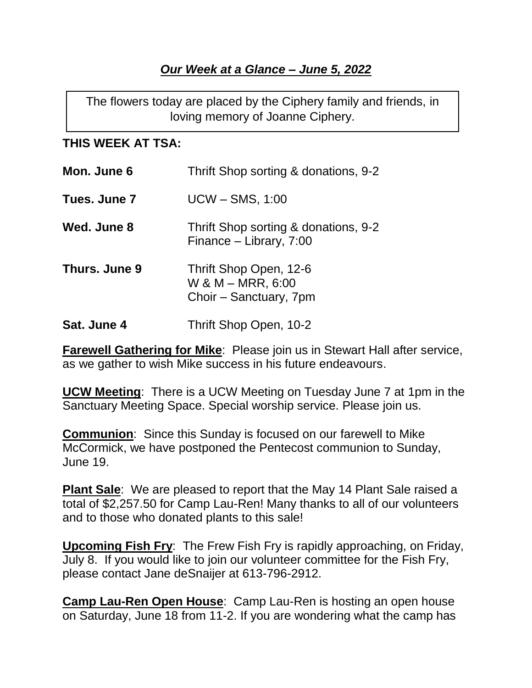## *Our Week at a Glance – June 5, 2022*

The flowers today are placed by the Ciphery family and friends, in loving memory of Joanne Ciphery.

## **THIS WEEK AT TSA:**

| Mon. June 6   | Thrift Shop sorting & donations, 9-2                                  |
|---------------|-----------------------------------------------------------------------|
| Tues. June 7  | <b>UCW - SMS, 1:00</b>                                                |
| Wed. June 8   | Thrift Shop sorting & donations, 9-2<br>Finance – Library, 7:00       |
| Thurs. June 9 | Thrift Shop Open, 12-6<br>W & M – MRR, 6:00<br>Choir – Sanctuary, 7pm |
| Sat. June 4   | Thrift Shop Open, 10-2                                                |

**Farewell Gathering for Mike**: Please join us in Stewart Hall after service, as we gather to wish Mike success in his future endeavours.

**UCW Meeting**: There is a UCW Meeting on Tuesday June 7 at 1pm in the Sanctuary Meeting Space. Special worship service. Please join us.

**Communion**: Since this Sunday is focused on our farewell to Mike McCormick, we have postponed the Pentecost communion to Sunday, June 19.

**Plant Sale**: We are pleased to report that the May 14 Plant Sale raised a total of \$2,257.50 for Camp Lau-Ren! Many thanks to all of our volunteers and to those who donated plants to this sale!

**Upcoming Fish Fry**: The Frew Fish Fry is rapidly approaching, on Friday, July 8. If you would like to join our volunteer committee for the Fish Fry, please contact Jane deSnaijer at 613-796-2912.

**Camp Lau-Ren Open House**: Camp Lau-Ren is hosting an open house on Saturday, June 18 from 11-2. If you are wondering what the camp has